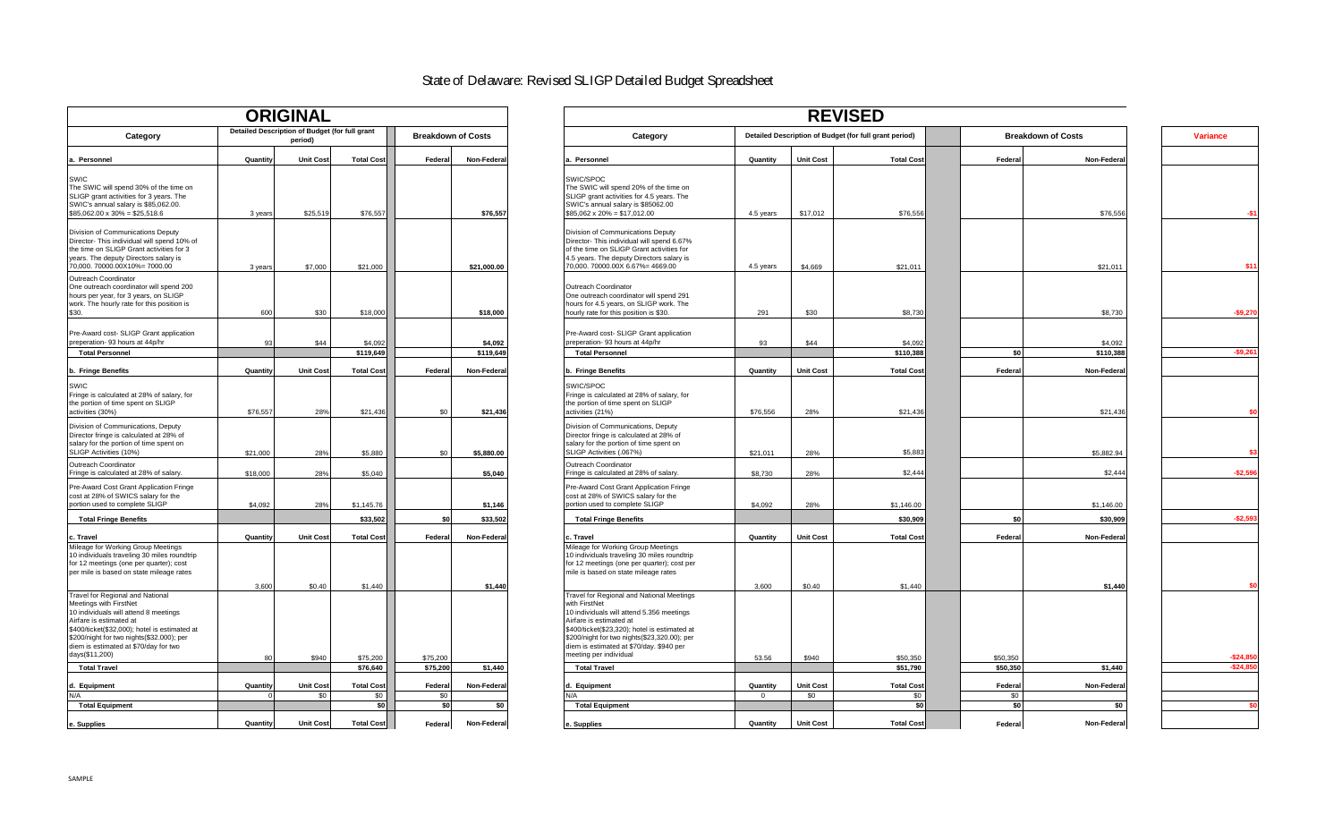# State of Delaware: Revised SLIGP Detailed Budget Spreadsheet

|                                                                                    |          | <b>ORIGINAL</b>                                           |                   |          |                           |
|------------------------------------------------------------------------------------|----------|-----------------------------------------------------------|-------------------|----------|---------------------------|
| Category                                                                           |          | Detailed Description of Budget (for full grant<br>period) |                   |          | <b>Breakdown of Costs</b> |
| a. Personnel                                                                       | Quantity | <b>Unit Cost</b>                                          | <b>Total Cost</b> | Federal  | Non-Federal               |
| SWIC                                                                               |          |                                                           |                   |          |                           |
| The SWIC will spend 30% of the time on                                             |          |                                                           |                   |          |                           |
| SLIGP grant activities for 3 years. The                                            |          |                                                           |                   |          |                           |
| SWIC's annual salary is \$85,062.00.<br>$$85,062.00 \times 30\% = $25,518.6$       | 3 years  | \$25,519                                                  | \$76,557          |          | \$76,557                  |
| Division of Communications Deputy<br>Director- This individual will spend 10% of   |          |                                                           |                   |          |                           |
| the time on SLIGP Grant activities for 3                                           |          |                                                           |                   |          |                           |
| years. The deputy Directors salary is                                              |          |                                                           |                   |          |                           |
| 70,000. 70000.00X10%= 7000.00                                                      | 3 years  | \$7,000                                                   | \$21,000          |          | \$21,000.00               |
| Outreach Coordinator<br>One outreach coordinator will spend 200                    |          |                                                           |                   |          |                           |
| hours per year, for 3 years, on SLIGP                                              |          |                                                           |                   |          |                           |
| work. The hourly rate for this position is                                         |          |                                                           |                   |          |                           |
| \$30.                                                                              | 600      | \$30                                                      | \$18,000          |          | \$18,000                  |
| Pre-Award cost- SLIGP Grant application                                            |          |                                                           |                   |          |                           |
| preperation- 93 hours at 44p/hr                                                    | 93       | \$44                                                      | \$4,092           |          | \$4,092                   |
| <b>Total Personnel</b>                                                             |          |                                                           | \$119,649         |          | \$119,649                 |
| b. Fringe Benefits                                                                 | Quantity | <b>Unit Cost</b>                                          | <b>Total Cost</b> | Federal  | Non-Federal               |
| SWIC                                                                               |          |                                                           |                   |          |                           |
| Fringe is calculated at 28% of salary, for                                         |          |                                                           |                   |          |                           |
| the portion of time spent on SLIGP<br>activities (30%)                             | \$76,557 | 28%                                                       | \$21,436          | \$0      | \$21,436                  |
|                                                                                    |          |                                                           |                   |          |                           |
| Division of Communications, Deputy<br>Director fringe is calculated at 28% of      |          |                                                           |                   |          |                           |
| salary for the portion of time spent on                                            |          |                                                           |                   |          |                           |
| SLIGP Activities (10%)                                                             | \$21,000 | 28%                                                       | \$5,880           | \$0      | \$5,880.00                |
| Outreach Coordinator                                                               |          |                                                           |                   |          |                           |
| Fringe is calculated at 28% of salary.                                             | \$18,000 | 28%                                                       | \$5,040           |          | \$5,040                   |
| Pre-Award Cost Grant Application Fringe<br>cost at 28% of SWICS salary for the     |          |                                                           |                   |          |                           |
| portion used to complete SLIGP                                                     | \$4,092  | 28%                                                       | \$1,145.76        |          | \$1,146                   |
| <b>Total Fringe Benefits</b>                                                       |          |                                                           | \$33,502          | \$0      | \$33,502                  |
|                                                                                    |          |                                                           |                   |          |                           |
| c. Travel<br>Mileage for Working Group Meetings                                    | Quantity | <b>Unit Cost</b>                                          | <b>Total Cost</b> | Federal  | Non-Federal               |
| 10 individuals traveling 30 miles roundtrip                                        |          |                                                           |                   |          |                           |
| for 12 meetings (one per quarter); cost                                            |          |                                                           |                   |          |                           |
| per mile is based on state mileage rates                                           |          |                                                           |                   |          |                           |
|                                                                                    | 3,600    | \$0.40                                                    | \$1,440           |          | \$1,440                   |
| Travel for Regional and National<br>Meetings with FirstNet                         |          |                                                           |                   |          |                           |
| 10 individuals will attend 8 meetings                                              |          |                                                           |                   |          |                           |
| Airfare is estimated at                                                            |          |                                                           |                   |          |                           |
| \$400/ticket(\$32,000); hotel is estimated at                                      |          |                                                           |                   |          |                           |
| \$200/night for two nights(\$32.000); per<br>diem is estimated at \$70/day for two |          |                                                           |                   |          |                           |
| days(\$11,200)                                                                     | 80       | \$940                                                     | \$75,200          | \$75,200 |                           |
| <b>Total Travel</b>                                                                |          |                                                           | \$76,640          | \$75,200 | \$1,440                   |
| d. Equipment                                                                       | Quantity | <b>Unit Cost</b>                                          | <b>Total Cost</b> | Federal  | Non-Federal               |
| N/A                                                                                | $\Omega$ | \$0                                                       | \$0               | \$0      |                           |
| <b>Total Equipment</b>                                                             |          |                                                           | \$0               | \$0      | \$0                       |
| e. Supplies                                                                        | Quantity | <b>Unit Cost</b>                                          | <b>Total Cost</b> | Federal  | Non-Federal               |

| <b>ORIGINAL</b>                                                                                                                                                                                        |          |                                                           |                      |                           |             | <b>REVISED</b>                                                                                                                                                                                                             |                  |                                                        |                      |                           |                         |
|--------------------------------------------------------------------------------------------------------------------------------------------------------------------------------------------------------|----------|-----------------------------------------------------------|----------------------|---------------------------|-------------|----------------------------------------------------------------------------------------------------------------------------------------------------------------------------------------------------------------------------|------------------|--------------------------------------------------------|----------------------|---------------------------|-------------------------|
| Category                                                                                                                                                                                               |          | Detailed Description of Budget (for full grant<br>period) |                      | <b>Breakdown of Costs</b> |             | Category                                                                                                                                                                                                                   |                  | Detailed Description of Budget (for full grant period) |                      | <b>Breakdown of Costs</b> | <b>Variance</b>         |
| a. Personnel                                                                                                                                                                                           | Quantity | <b>Unit Cost</b>                                          | <b>Total Cost</b>    | Federal                   | Non-Federal | Quantity<br>Personnel                                                                                                                                                                                                      | <b>Unit Cost</b> | <b>Total Cost</b>                                      | Federal              | Non-Federa                |                         |
| <b>SWIC</b><br>The SWIC will spend 30% of the time on<br>SLIGP grant activities for 3 years. The<br>SWIC's annual salary is \$85,062.00.<br>$$85,062.00 \times 30\% = $25,518.6$                       | 3 years  | \$25,519                                                  | \$76,557             |                           | \$76,557    | SWIC/SPOC<br>The SWIC will spend 20% of the time on<br>SLIGP grant activities for 4.5 years. The<br>SWIC's annual salary is \$85062.00<br>$$85,062 \times 20\% = $17,012.00$<br>4.5 years                                  | \$17,012         | \$76,556                                               |                      | \$76,556                  | -S'                     |
| Division of Communications Deputy<br>Director- This individual will spend 10% of<br>the time on SLIGP Grant activities for 3<br>vears. The deputy Directors salary is<br>70,000. 70000.00X10%= 7000.00 | 3 years  | \$7,000                                                   | \$21,000             |                           | \$21,000.00 | Division of Communications Deputy<br>Director- This individual will spend 6.67%<br>of the time on SLIGP Grant activities for<br>4.5 years. The deputy Directors salary is<br>70,000. 70000.00X 6.67%= 4669.00<br>4.5 years | \$4,669          | \$21,011                                               |                      | \$21,011                  | \$11                    |
| Outreach Coordinator<br>One outreach coordinator will spend 200<br>hours per year, for 3 years, on SLIGP<br>work. The hourly rate for this position is<br>\$30.                                        | 600      | \$30                                                      | \$18,000             |                           | \$18,000    | Outreach Coordinator<br>One outreach coordinator will spend 291<br>hours for 4.5 years, on SLIGP work. The<br>hourly rate for this position is \$30.<br>291                                                                | \$30             | \$8,730                                                |                      | \$8,730                   | $-$9,270$               |
| Pre-Award cost- SLIGP Grant application<br>preperation- 93 hours at 44p/hr                                                                                                                             | 93       | \$44                                                      | \$4,092              |                           | \$4,092     | Pre-Award cost- SLIGP Grant application<br>preperation- 93 hours at 44p/hr<br>93                                                                                                                                           | \$44             | \$4,092                                                |                      | \$4,092                   |                         |
| <b>Total Personnel</b>                                                                                                                                                                                 |          |                                                           | \$119,649            |                           | \$119,649   | <b>Total Personnel</b>                                                                                                                                                                                                     |                  | \$110,388                                              | \$0                  | \$110,388                 | $-$9,261$               |
| b. Fringe Benefits                                                                                                                                                                                     | Quantity | <b>Unit Cost</b>                                          | <b>Total Cost</b>    | Federal                   | Non-Federal | Quantity<br>b. Fringe Benefits                                                                                                                                                                                             | <b>Unit Cost</b> | <b>Total Cost</b>                                      | Federal              | Non-Federa                |                         |
| SWIC<br>Fringe is calculated at 28% of salary, for<br>the portion of time spent on SLIGP<br>activities (30%)                                                                                           | \$76,557 | 28%                                                       | \$21,436             | \$0                       | \$21.436    | SWIC/SPOC<br>Fringe is calculated at 28% of salary, for<br>the portion of time spent on SLIGP<br>activities (21%)<br>\$76,556                                                                                              | 28%              | \$21,436                                               |                      | \$21,436                  |                         |
| Division of Communications, Deputy<br>Director fringe is calculated at 28% of<br>salary for the portion of time spent on<br>SLIGP Activities (10%)                                                     | \$21,000 | 28%                                                       | \$5,880              | \$0                       | \$5,880.00  | Division of Communications, Deputy<br>Director fringe is calculated at 28% of<br>salary for the portion of time spent on<br>SLIGP Activities (.067%)<br>\$21,011                                                           | 28%              | \$5,883                                                |                      | \$5,882.94                |                         |
| Outreach Coordinator<br>Fringe is calculated at 28% of salary.                                                                                                                                         | \$18,000 | 28%                                                       | \$5,040              |                           | \$5,040     | Outreach Coordinator<br>Fringe is calculated at 28% of salary.<br>\$8,730                                                                                                                                                  | 28%              | \$2,444                                                |                      | \$2,444                   | $-$2,596$               |
| Pre-Award Cost Grant Application Fringe<br>cost at 28% of SWICS salary for the<br>portion used to complete SLIGP                                                                                       | \$4.092  | 28%                                                       | \$1,145.76           |                           | \$1,146     | Pre-Award Cost Grant Application Fringe<br>cost at 28% of SWICS salary for the<br>portion used to complete SLIGP<br>\$4,092                                                                                                | 28%              | \$1,146.00                                             |                      | \$1,146.00                |                         |
| <b>Total Fringe Benefits</b>                                                                                                                                                                           |          |                                                           | \$33,502             | \$0                       | \$33,502    | <b>Total Fringe Benefits</b>                                                                                                                                                                                               |                  | \$30,909                                               | \$0                  | \$30,909                  | $-$2,593$               |
| c. Travel                                                                                                                                                                                              | Quantity | <b>Unit Cost</b>                                          | <b>Total Cost</b>    | Federal                   | Non-Federal | Quantity<br>c. Travel                                                                                                                                                                                                      | <b>Unit Cost</b> | <b>Total Cost</b>                                      | Federal              | Non-Federa                |                         |
| Mileage for Working Group Meetings<br>10 individuals traveling 30 miles roundtrip<br>for 12 meetings (one per quarter); cost<br>per mile is based on state mileage rates                               |          |                                                           |                      |                           |             | Mileage for Working Group Meetings<br>10 individuals traveling 30 miles roundtrip<br>for 12 meetings (one per quarter); cost per<br>mile is based on state mileage rates                                                   |                  |                                                        |                      |                           |                         |
| <b>Travel for Regional and National</b><br>Meetings with FirstNet<br>10 individuals will attend 8 meetings                                                                                             | 3.600    | \$0.40                                                    | \$1,440              |                           | \$1,440     | 3,600<br>Travel for Regional and National Meetings<br>with FirstNet<br>10 individuals will attend 5.356 meetings                                                                                                           | \$0.40           | \$1,440                                                |                      | \$1,440                   |                         |
| Airfare is estimated at<br>\$400/ticket(\$32,000); hotel is estimated at<br>\$200/night for two nights(\$32.000); per<br>diem is estimated at \$70/day for two                                         |          |                                                           |                      |                           |             | Airfare is estimated at<br>\$400/ticket(\$23,320); hotel is estimated at<br>\$200/night for two nights(\$23,320.00); per<br>diem is estimated at \$70/day. \$940 per                                                       |                  |                                                        |                      |                           |                         |
| days(\$11,200)<br><b>Total Travel</b>                                                                                                                                                                  | 80       | \$940                                                     | \$75,200<br>\$76,640 | \$75,200<br>\$75,200      | \$1,440     | meeting per individual<br>53.56<br><b>Total Travel</b>                                                                                                                                                                     | \$940            | \$50,350<br>\$51,790                                   | \$50,350<br>\$50,350 | \$1,440                   | $-$24,85$<br>$-$24,850$ |
|                                                                                                                                                                                                        |          |                                                           |                      |                           |             |                                                                                                                                                                                                                            |                  |                                                        |                      |                           |                         |
| d. Equipment                                                                                                                                                                                           | Quantity | <b>Unit Cost</b>                                          | <b>Total Cost</b>    | Federal                   | Non-Federal | Equipment<br>Quantity                                                                                                                                                                                                      | <b>Unit Cost</b> | <b>Total Cost</b>                                      | Federal              | Non-Federa                |                         |
| N/A<br><b>Total Equipment</b>                                                                                                                                                                          |          | \$0                                                       | \$0<br>\$0           | \$0<br>\$0                | \$0         | $\Omega$<br><b>Total Equipment</b>                                                                                                                                                                                         | \$0              | \$0<br>\$0                                             | \$0<br>\$0           | \$O                       |                         |
|                                                                                                                                                                                                        |          |                                                           |                      |                           |             |                                                                                                                                                                                                                            |                  |                                                        |                      |                           |                         |
| e. Supplies                                                                                                                                                                                            | Quantity | <b>Unit Cost</b>                                          | <b>Total Cost</b>    | Federal                   | Non-Federal | Quantity<br>e. Supplies                                                                                                                                                                                                    | <b>Unit Cost</b> | <b>Total Cost</b>                                      | Federal              | Non-Federa                |                         |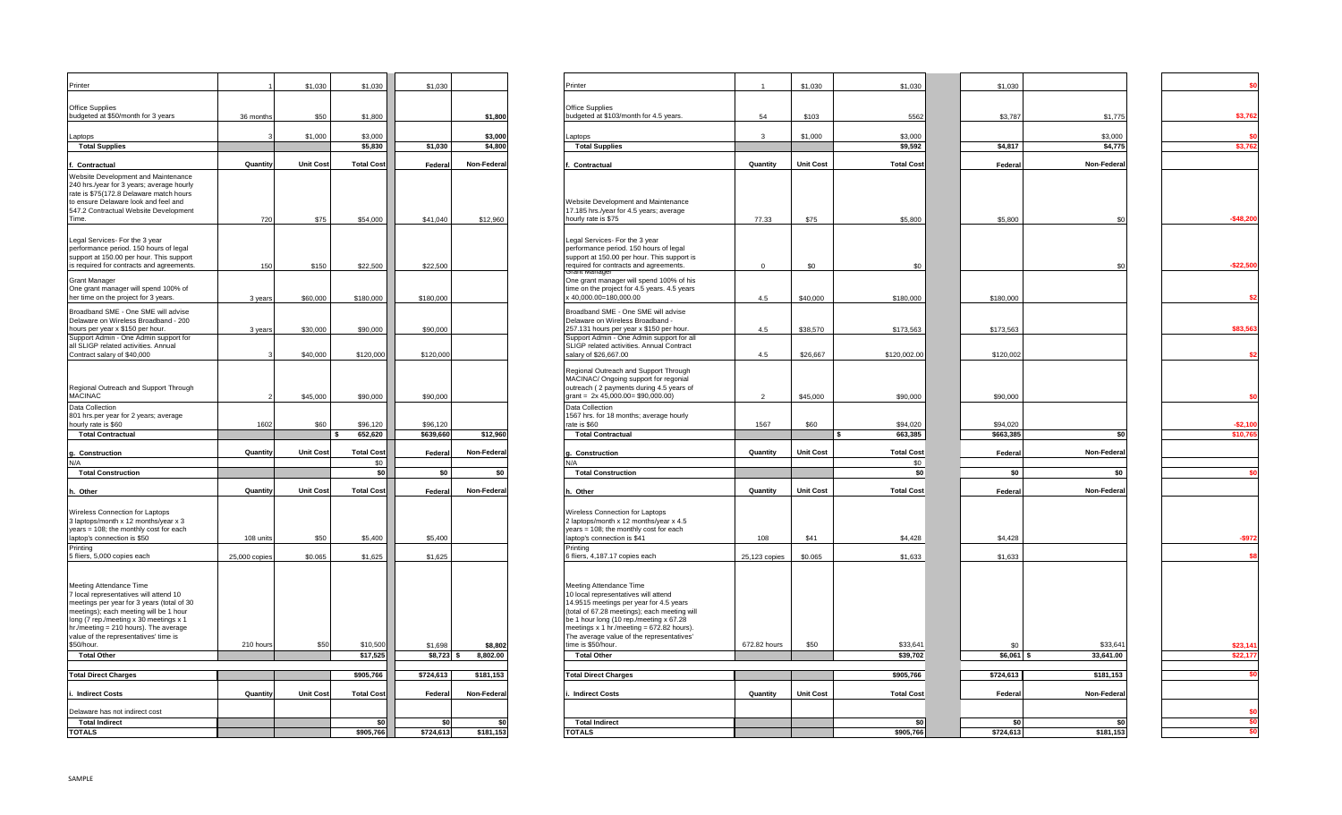| Printer                                                                                                                                                                                                                                                                                             |               | \$1,030          | \$1,030                  | \$1,030   |            | Printer                                                                                                                                                                                                                                                                                                               |                | \$1,030          | \$1,030                 |
|-----------------------------------------------------------------------------------------------------------------------------------------------------------------------------------------------------------------------------------------------------------------------------------------------------|---------------|------------------|--------------------------|-----------|------------|-----------------------------------------------------------------------------------------------------------------------------------------------------------------------------------------------------------------------------------------------------------------------------------------------------------------------|----------------|------------------|-------------------------|
|                                                                                                                                                                                                                                                                                                     |               |                  |                          |           |            |                                                                                                                                                                                                                                                                                                                       |                |                  |                         |
| Office Supplies<br>budgeted at \$50/month for 3 years                                                                                                                                                                                                                                               | 36 months     | \$50             | \$1,800                  |           | \$1,800    | Office Supplies<br>budgeted at \$103/month for 4.5 years.                                                                                                                                                                                                                                                             | 54             | \$103            | 556                     |
| Laptops                                                                                                                                                                                                                                                                                             |               | \$1,000          | \$3,000                  |           | \$3,000    | Laptops                                                                                                                                                                                                                                                                                                               | 3              | \$1,000          | \$3,000                 |
| <b>Total Supplies</b>                                                                                                                                                                                                                                                                               |               |                  | \$5,830                  | \$1,030   | \$4,800    | <b>Total Supplies</b>                                                                                                                                                                                                                                                                                                 |                |                  | \$9,592                 |
| Contractual                                                                                                                                                                                                                                                                                         | Quantity      | <b>Unit Cost</b> | <b>Total Cost</b>        | Federal   | Non-Federa | Contractual                                                                                                                                                                                                                                                                                                           | Quantity       | <b>Unit Cost</b> | <b>Total Cos</b>        |
| Website Development and Maintenance<br>240 hrs./year for 3 years; average hourly<br>rate is \$75(172.8 Delaware match hours<br>to ensure Delaware look and feel and<br>547.2 Contractual Website Development<br>Time.                                                                               | 720           | \$75             | \$54,000                 | \$41,040  | \$12,960   | Website Development and Maintenance<br>17.185 hrs./year for 4.5 years; average<br>hourly rate is \$75                                                                                                                                                                                                                 | 77.33          | \$75             | \$5,800                 |
| Legal Services- For the 3 year<br>performance period. 150 hours of legal<br>support at 150.00 per hour. This support<br>is required for contracts and agreements.                                                                                                                                   | 150           | \$150            | \$22,500                 | \$22,500  |            | Legal Services- For the 3 year<br>performance period. 150 hours of legal<br>support at 150.00 per hour. This support is<br>required for contracts and agreements.<br>ránt manage                                                                                                                                      | $\mathbf{0}$   | \$0              | \$0                     |
| <b>Grant Manager</b><br>One grant manager will spend 100% of<br>her time on the project for 3 years.                                                                                                                                                                                                | 3 years       | \$60,000         | \$180,000                | \$180,000 |            | One grant manager will spend 100% of his<br>time on the project for 4.5 years. 4.5 years<br>x 40,000.00=180,000.00                                                                                                                                                                                                    | 4.5            | \$40,000         | \$180,000               |
| Broadband SME - One SME will advise<br>Delaware on Wireless Broadband - 200<br>hours per year x \$150 per hour.<br>Support Admin - One Admin support for                                                                                                                                            | 3 years       | \$30,000         | \$90,000                 | \$90,000  |            | Broadband SME - One SME will advise<br>Delaware on Wireless Broadband -<br>257.131 hours per year x \$150 per hour.<br>Support Admin - One Admin support for all                                                                                                                                                      | 4.5            | \$38,570         | \$173,563               |
| all SLIGP related activities. Annual<br>Contract salary of \$40,000                                                                                                                                                                                                                                 |               | \$40,000         | \$120,000                | \$120,000 |            | SLIGP related activities. Annual Contract<br>salary of \$26,667.00                                                                                                                                                                                                                                                    | 4.5            | \$26,667         | \$120,002.00            |
| Regional Outreach and Support Through<br><b>MACINAC</b>                                                                                                                                                                                                                                             |               | \$45,000         | \$90,000                 | \$90,000  |            | Regional Outreach and Support Through<br>MACINAC/ Ongoing support for regonial<br>outreach (2 payments during 4.5 years of<br>grant = 2x 45,000.00= \$90,000.00)                                                                                                                                                      | $\overline{2}$ | \$45,000         | \$90,000                |
| Data Collection<br>801 hrs.per year for 2 years; average<br>hourly rate is \$60                                                                                                                                                                                                                     | 1602          | \$60             | \$96,120                 | \$96,120  |            | Data Collection<br>1567 hrs. for 18 months; average hourly<br>rate is \$60                                                                                                                                                                                                                                            | 1567           | \$60             | \$94,020                |
| <b>Total Contractual</b>                                                                                                                                                                                                                                                                            |               |                  | 652,620<br>\$.           | \$639,660 | \$12,960   | <b>Total Contractual</b>                                                                                                                                                                                                                                                                                              |                |                  | 663,385                 |
|                                                                                                                                                                                                                                                                                                     |               |                  |                          |           |            |                                                                                                                                                                                                                                                                                                                       |                |                  |                         |
| g. Construction<br>N/A                                                                                                                                                                                                                                                                              | Quantity      | <b>Unit Cost</b> | <b>Total Cost</b><br>\$0 | Federal   | Non-Federa | g. Construction                                                                                                                                                                                                                                                                                                       | Quantity       | <b>Unit Cost</b> | <b>Total Cos</b><br>\$0 |
| <b>Total Construction</b>                                                                                                                                                                                                                                                                           |               |                  | \$0                      | \$0       | \$0        | <b>Total Construction</b>                                                                                                                                                                                                                                                                                             |                |                  | \$                      |
|                                                                                                                                                                                                                                                                                                     |               |                  |                          |           |            |                                                                                                                                                                                                                                                                                                                       |                |                  |                         |
| h. Other                                                                                                                                                                                                                                                                                            | Quantity      | <b>Unit Cost</b> | <b>Total Cost</b>        | Federal   | Non-Federa | h. Other                                                                                                                                                                                                                                                                                                              | Quantity       | <b>Unit Cost</b> | <b>Total Cos</b>        |
| Wireless Connection for Laptops<br>3 laptops/month x 12 months/year x 3<br>years = 108; the monthly cost for each<br>laptop's connection is \$50                                                                                                                                                    | 108 units     | \$50             | \$5,400                  | \$5,400   |            | Wireless Connection for Laptops<br>2 laptops/month x 12 months/year x 4.5<br>years = 108; the monthly cost for each<br>aptop's connection is \$41                                                                                                                                                                     | 108            | \$41             | \$4,428                 |
| Printing<br>5 fliers, 5,000 copies each                                                                                                                                                                                                                                                             | 25,000 copies | \$0.065          | \$1,625                  | \$1,625   |            | Printing<br>6 fliers, 4,187.17 copies each                                                                                                                                                                                                                                                                            | 25,123 copies  | \$0.065          | \$1,633                 |
| Meeting Attendance Time<br>7 local representatives will attend 10<br>meetings per year for 3 years (total of 30<br>meetings); each meeting will be 1 hour<br>long (7 rep./meeting x 30 meetings x 1<br>hr./meeting = 210 hours). The average<br>value of the representatives' time is<br>\$50/hour. | 210 hours     | \$50             | \$10,500                 | \$1,698   | \$8,802    | Meeting Attendance Time<br>10 local representatives will attend<br>14.9515 meetings per year for 4.5 years<br>(total of 67.28 meetings); each meeting will<br>be 1 hour long (10 rep./meeting x 67.28<br>meetings x 1 hr./meeting = 672.82 hours).<br>The average value of the representatives'<br>time is \$50/hour. | 672.82 hours   | \$50             | \$33,64                 |
| <b>Total Other</b>                                                                                                                                                                                                                                                                                  |               |                  | \$17,525                 | \$8,723   | 8,802.00   | <b>Total Other</b>                                                                                                                                                                                                                                                                                                    |                |                  | \$39,70                 |
| <b>Total Direct Charges</b>                                                                                                                                                                                                                                                                         |               |                  | \$905,766                | \$724,613 | \$181,153  | <b>Total Direct Charges</b>                                                                                                                                                                                                                                                                                           |                |                  | \$905,766               |
| <b>Indirect Costs</b>                                                                                                                                                                                                                                                                               | Quantity      | <b>Unit Cost</b> | <b>Total Cost</b>        | Federa    | Non-Federa | <b>Indirect Costs</b>                                                                                                                                                                                                                                                                                                 | Quantity       | <b>Unit Cost</b> | <b>Total Cos</b>        |
| Delaware has not indirect cost                                                                                                                                                                                                                                                                      |               |                  |                          |           |            |                                                                                                                                                                                                                                                                                                                       |                |                  |                         |
| <b>Total Indirect</b>                                                                                                                                                                                                                                                                               |               |                  | \$0                      | \$0       | \$0        | <b>Total Indirect</b>                                                                                                                                                                                                                                                                                                 |                |                  | \$                      |
| TOTALS                                                                                                                                                                                                                                                                                              |               |                  | \$905 766                | \$724 613 | \$181.153  | <b>TOTALS</b>                                                                                                                                                                                                                                                                                                         |                |                  | \$905.76                |

| Printer                                                                                                                                                                                                                                                                                             |               | \$1,030          | \$1,030                       | \$1,030          |             | Printer                                                                                                                                                                                                                                                                                                              | $\overline{1}$ | \$1,030          | \$1,030           | \$1,030          |             |            |
|-----------------------------------------------------------------------------------------------------------------------------------------------------------------------------------------------------------------------------------------------------------------------------------------------------|---------------|------------------|-------------------------------|------------------|-------------|----------------------------------------------------------------------------------------------------------------------------------------------------------------------------------------------------------------------------------------------------------------------------------------------------------------------|----------------|------------------|-------------------|------------------|-------------|------------|
|                                                                                                                                                                                                                                                                                                     |               |                  |                               |                  |             |                                                                                                                                                                                                                                                                                                                      |                |                  |                   |                  |             |            |
| Office Supplies<br>budgeted at \$50/month for 3 years                                                                                                                                                                                                                                               | 36 months     | \$50             | \$1,800                       |                  | \$1,800     | <b>Office Supplies</b><br>budgeted at \$103/month for 4.5 years.                                                                                                                                                                                                                                                     | 54             | \$103            | 5562              | \$3,787          | \$1,775     | \$3,762    |
|                                                                                                                                                                                                                                                                                                     |               | \$1,000          | \$3,000                       |                  | \$3,000     | Laptops                                                                                                                                                                                                                                                                                                              | $\mathbf{3}$   | \$1,000          | \$3,000           |                  | \$3,000     |            |
| Laptops<br><b>Total Supplies</b>                                                                                                                                                                                                                                                                    |               |                  | \$5,830                       | \$1,030          | \$4,800     | <b>Total Supplies</b>                                                                                                                                                                                                                                                                                                |                |                  | \$9,592           | \$4,817          | \$4,775     | \$3,762    |
| f. Contractual                                                                                                                                                                                                                                                                                      | Quantity      | <b>Unit Cost</b> | <b>Total Cost</b>             | Federal          | Non-Federal | . Contractual                                                                                                                                                                                                                                                                                                        | Quantity       | <b>Unit Cost</b> | <b>Total Cost</b> | Federal          | Non-Federal |            |
| Website Development and Maintenance                                                                                                                                                                                                                                                                 |               |                  |                               |                  |             |                                                                                                                                                                                                                                                                                                                      |                |                  |                   |                  |             |            |
| 240 hrs./year for 3 years; average hourly<br>rate is \$75(172.8 Delaware match hours<br>to ensure Delaware look and feel and<br>547.2 Contractual Website Development<br>Time.                                                                                                                      | 720           | \$75             | \$54,000                      | \$41,040         | \$12,960    | Website Development and Maintenance<br>17.185 hrs./year for 4.5 years; average<br>hourly rate is \$75                                                                                                                                                                                                                | 77.33          | \$75             | \$5,800           | \$5,800          | \$0         | $-$48,200$ |
| Legal Services- For the 3 year<br>performance period. 150 hours of legal<br>support at 150.00 per hour. This support<br>is required for contracts and agreements.                                                                                                                                   | 150           | \$150            | \$22,500                      | \$22,500         |             | Legal Services- For the 3 year<br>performance period. 150 hours of legal<br>support at 150.00 per hour. This support is<br>required for contracts and agreements.                                                                                                                                                    | $\Omega$       | \$0              | \$0               |                  | \$ſ         | $-$22,500$ |
| Grant Manager<br>One grant manager will spend 100% of<br>her time on the project for 3 years.                                                                                                                                                                                                       |               | \$60,000         | \$180,000                     | \$180,000        |             | <b>Grant Manade</b><br>One grant manager will spend 100% of his<br>time on the project for 4.5 years. 4.5 years<br>x 40,000.00=180,000.00                                                                                                                                                                            | 4.5            | \$40,000         | \$180,000         | \$180,000        |             | - \$2      |
| Broadband SME - One SME will advise                                                                                                                                                                                                                                                                 | 3 years       |                  |                               |                  |             | Broadband SME - One SME will advise                                                                                                                                                                                                                                                                                  |                |                  |                   |                  |             |            |
| Delaware on Wireless Broadband - 200<br>hours per year x \$150 per hour.                                                                                                                                                                                                                            | 3 years       | \$30,000         | \$90,000                      | \$90,000         |             | Delaware on Wireless Broadband -<br>257.131 hours per year x \$150 per hour.                                                                                                                                                                                                                                         | 4.5            | \$38,570         | \$173,563         | \$173,563        |             | \$83,563   |
| Support Admin - One Admin support for<br>all SLIGP related activities. Annual                                                                                                                                                                                                                       |               |                  |                               |                  |             | Support Admin - One Admin support for all<br>SLIGP related activities. Annual Contract                                                                                                                                                                                                                               |                |                  |                   |                  |             |            |
| Contract salary of \$40,000                                                                                                                                                                                                                                                                         |               | \$40,000         | \$120,000                     | \$120,000        |             | salary of \$26,667.00                                                                                                                                                                                                                                                                                                | 4.5            | \$26,667         | \$120,002.00      | \$120,002        |             | - \$2      |
| Regional Outreach and Support Through<br>MACINAC                                                                                                                                                                                                                                                    |               | \$45,000         | \$90,000                      | \$90,000         |             | Regional Outreach and Support Through<br>MACINAC/ Ongoing support for regonial<br>outreach (2 payments during 4.5 years of<br>grant = $2x$ 45,000.00= \$90,000.00)                                                                                                                                                   | $\overline{2}$ | \$45,000         | \$90,000          | \$90,000         |             |            |
| Data Collection                                                                                                                                                                                                                                                                                     |               |                  |                               |                  |             | Data Collection                                                                                                                                                                                                                                                                                                      |                |                  |                   |                  |             |            |
| 801 hrs.per year for 2 years; average<br>hourly rate is \$60                                                                                                                                                                                                                                        | 1602          | \$60             | \$96,120                      | \$96,120         |             | 1567 hrs. for 18 months; average hourly<br>rate is \$60                                                                                                                                                                                                                                                              | 1567           | \$60             | \$94,020          | \$94,020         |             | $-$2,100$  |
| <b>Total Contractual</b>                                                                                                                                                                                                                                                                            |               |                  | 652,620<br>$\hat{\mathbf{z}}$ | \$639,660        | \$12,960    | <b>Total Contractual</b>                                                                                                                                                                                                                                                                                             |                |                  | 663,385           | \$663,385        | \$0         | \$10,765   |
| g. Construction                                                                                                                                                                                                                                                                                     | Quantity      | <b>Unit Cost</b> | <b>Total Cost</b>             | Federal          | Non-Federa  | Construction                                                                                                                                                                                                                                                                                                         | Quantity       | <b>Unit Cost</b> | <b>Total Cost</b> | Federal          | Non-Federal |            |
| N/A<br><b>Total Construction</b>                                                                                                                                                                                                                                                                    |               |                  | \$0<br>\$0                    | \$0              | \$O         | N/A<br><b>Total Construction</b>                                                                                                                                                                                                                                                                                     |                |                  | \$0<br>\$0        | \$0              | \$0         |            |
| h. Other                                                                                                                                                                                                                                                                                            | Quantity      | <b>Unit Cost</b> | <b>Total Cost</b>             | Federal          | Non-Federal | Other                                                                                                                                                                                                                                                                                                                | Quantity       | <b>Unit Cost</b> | <b>Total Cost</b> | Federal          | Non-Federal |            |
| Wireless Connection for Laptops<br>3 laptops/month x 12 months/year x 3<br>years = 108; the monthly cost for each                                                                                                                                                                                   |               |                  |                               |                  |             | Wireless Connection for Laptops<br>2 laptops/month x 12 months/year x 4.5<br>$years = 108$ ; the monthly cost for each                                                                                                                                                                                               |                |                  |                   |                  |             |            |
| laptop's connection is \$50<br>Printing                                                                                                                                                                                                                                                             | 108 units     | \$50             | \$5,400                       | \$5,400          |             | laptop's connection is \$41<br>Printing                                                                                                                                                                                                                                                                              | 108            | \$41             | \$4,428           | \$4,428          |             | $-$972$    |
| 5 fliers, 5,000 copies each                                                                                                                                                                                                                                                                         | 25,000 copies | \$0.065          | \$1,625                       | \$1,625          |             | 6 fliers, 4,187.17 copies each                                                                                                                                                                                                                                                                                       | 25,123 copies  | \$0.065          | \$1,633           | \$1,633          |             |            |
| Meeting Attendance Time<br>7 local representatives will attend 10<br>meetings per year for 3 years (total of 30<br>meetings); each meeting will be 1 hour<br>long (7 rep./meeting x 30 meetings x 1<br>hr./meeting = 210 hours). The average<br>value of the representatives' time is<br>\$50/hour. | 210 hours     | \$50             | \$10,500                      | \$1,698          | \$8,802     | Meeting Attendance Time<br>10 local representatives will attend<br>14.9515 meetings per year for 4.5 years<br>(total of 67.28 meetings); each meeting will<br>be 1 hour long (10 rep./meeting x 67.28<br>meetings x 1 hr./meeting = 672.82 hours).<br>The average value of the representatives'<br>time is \$50/hour | 672.82 hours   | \$50             | \$33,641          | \$0              | \$33,641    | \$23,14    |
| <b>Total Other</b>                                                                                                                                                                                                                                                                                  |               |                  | \$17,525                      | $$8,723$ \$      | 8,802.00    | <b>Total Other</b>                                                                                                                                                                                                                                                                                                   |                |                  | \$39,702          | $$6,061$ \$      | 33,641.00   | \$22,177   |
| <b>Total Direct Charges</b>                                                                                                                                                                                                                                                                         |               |                  | \$905,766                     | \$724,613        | \$181,153   | <b>Total Direct Charges</b>                                                                                                                                                                                                                                                                                          |                |                  | \$905,766         | \$724,613        | \$181,153   |            |
| i. Indirect Costs                                                                                                                                                                                                                                                                                   | Quantity      | <b>Unit Cost</b> | <b>Total Cost</b>             | Federal          | Non-Federal | <b>Indirect Costs</b>                                                                                                                                                                                                                                                                                                | Quantity       | <b>Unit Cost</b> | <b>Total Cost</b> | Federa           | Non-Federal |            |
| Delaware has not indirect cost                                                                                                                                                                                                                                                                      |               |                  |                               |                  | \$0         |                                                                                                                                                                                                                                                                                                                      |                |                  |                   |                  | \$0         |            |
| <b>Total Indirect</b><br>TOTALS                                                                                                                                                                                                                                                                     |               |                  | \$0<br>\$905,766              | \$0<br>\$724,613 | \$181,153   | <b>Total Indirect</b><br><b>TOTALS</b>                                                                                                                                                                                                                                                                               |                |                  | \$0<br>\$905,766  | \$O<br>\$724,613 | \$181,153   |            |
|                                                                                                                                                                                                                                                                                                     |               |                  |                               |                  |             |                                                                                                                                                                                                                                                                                                                      |                |                  |                   |                  |             |            |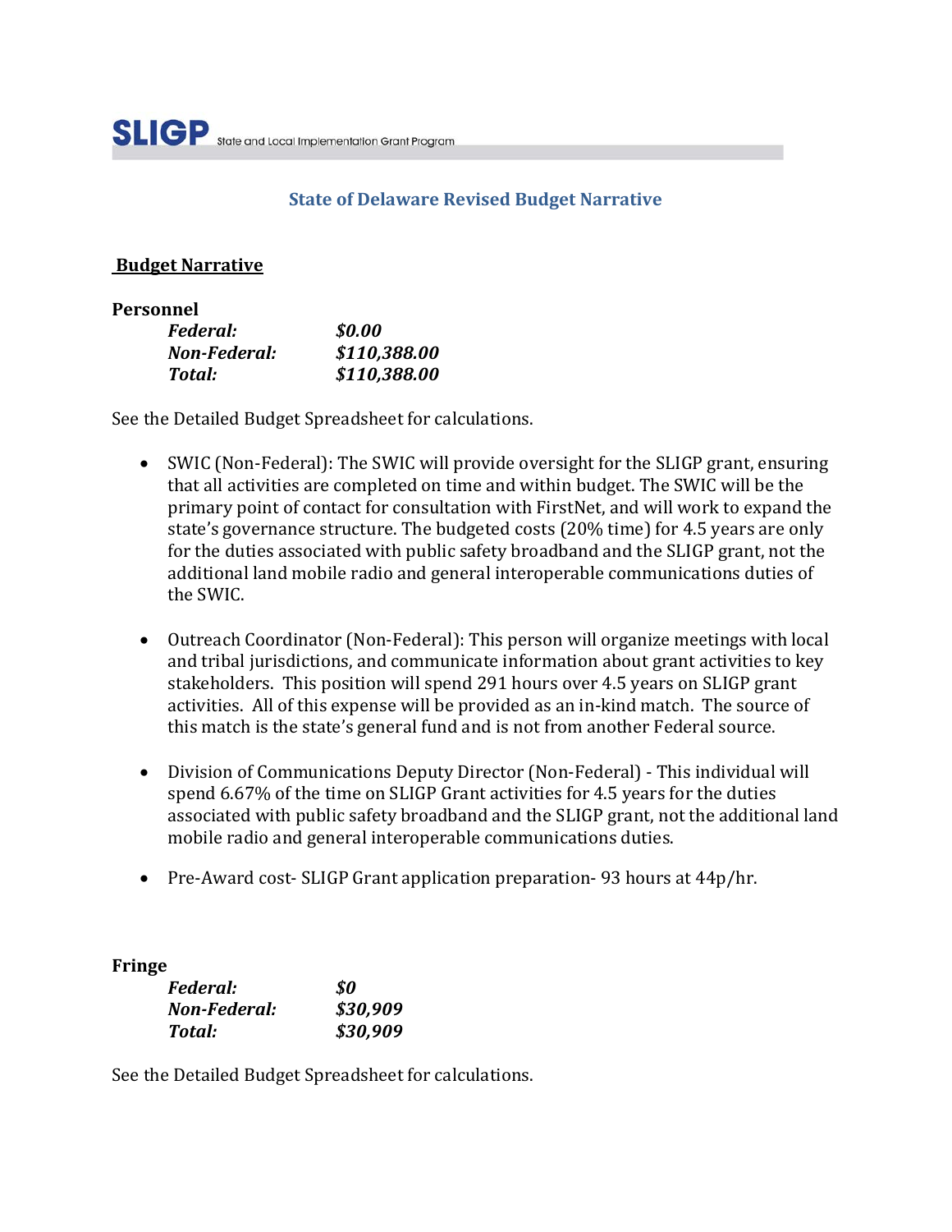# **State of Delaware Revised Budget Narrative**

#### **Budget Narrative**

#### **Personnel**

| Federal:     | \$0.00       |
|--------------|--------------|
| Non-Federal: | \$110,388.00 |
| Total:       | \$110,388.00 |

See the Detailed Budget Spreadsheet for calculations.

- SWIC (Non-Federal): The SWIC will provide oversight for the SLIGP grant, ensuring that all activities are completed on time and within budget. The SWIC will be the primary point of contact for consultation with FirstNet, and will work to expand the state's governance structure. The budgeted costs (20% time) for 4.5 years are only for the duties associated with public safety broadband and the SLIGP grant, not the additional land mobile radio and general interoperable communications duties of the SWIC.
- Outreach Coordinator (Non-Federal): This person will organize meetings with local and tribal jurisdictions, and communicate information about grant activities to key stakeholders. This position will spend 291 hours over 4.5 years on SLIGP grant activities. All of this expense will be provided as an in-kind match. The source of this match is the state's general fund and is not from another Federal source.
- Division of Communications Deputy Director (Non-Federal) This individual will spend 6.67% of the time on SLIGP Grant activities for 4.5 years for the duties associated with public safety broadband and the SLIGP grant, not the additional land mobile radio and general interoperable communications duties.
- Pre-Award cost- SLIGP Grant application preparation-93 hours at 44p/hr.

### **Fringe**

| <i>Federal:</i> | \$0      |
|-----------------|----------|
| Non-Federal:    | \$30,909 |
| Total:          | \$30,909 |

See the Detailed Budget Spreadsheet for calculations.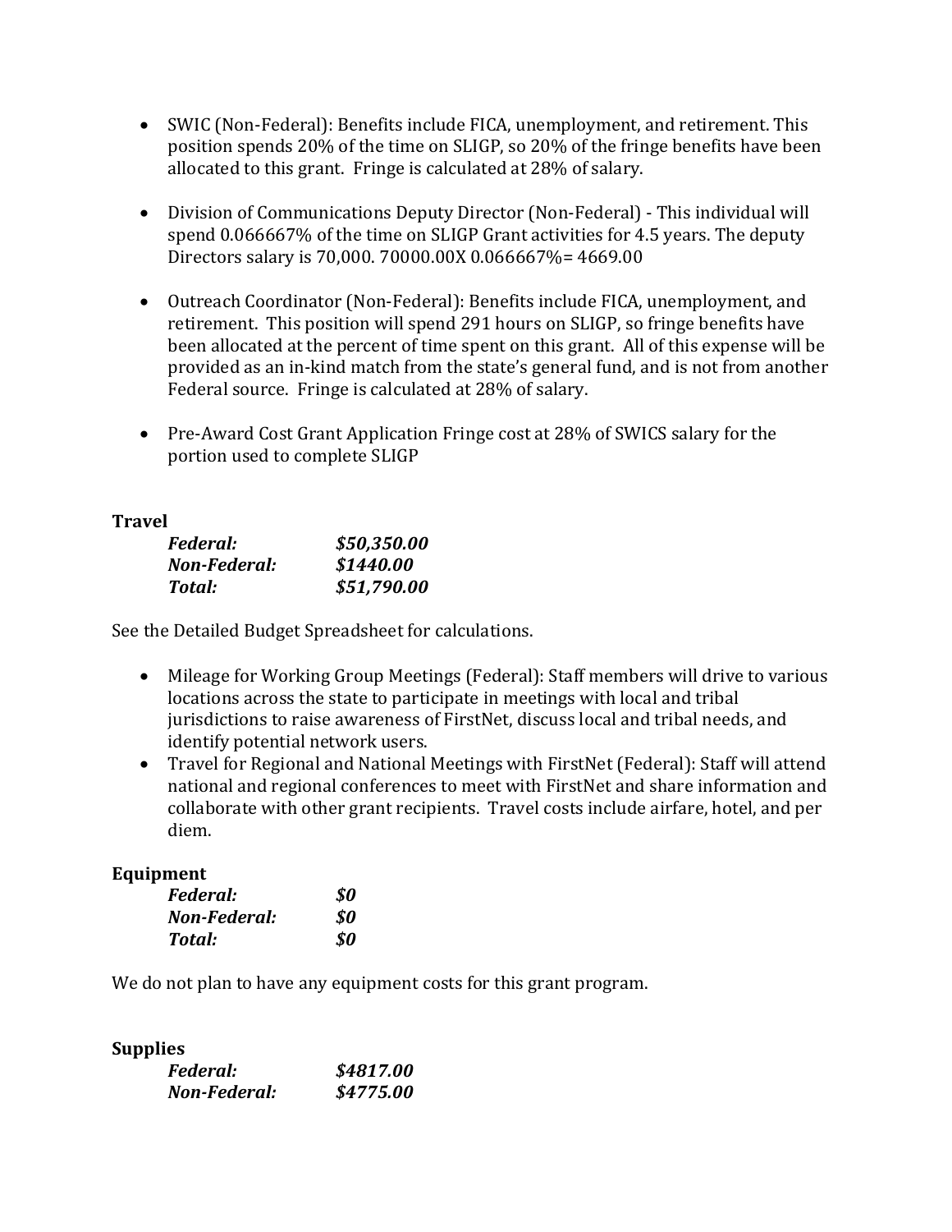- SWIC (Non-Federal): Benefits include FICA, unemployment, and retirement. This position spends 20% of the time on SLIGP, so 20% of the fringe benefits have been allocated to this grant. Fringe is calculated at 28% of salary.
- Division of Communications Deputy Director (Non-Federal) This individual will spend 0.066667% of the time on SLIGP Grant activities for 4.5 years. The deputy Directors salary is 70,000. 70000.00X 0.066667%= 4669.00
- Outreach Coordinator (Non-Federal): Benefits include FICA, unemployment, and retirement. This position will spend 291 hours on SLIGP, so fringe benefits have been allocated at the percent of time spent on this grant. All of this expense will be provided as an in-kind match from the state's general fund, and is not from another Federal source. Fringe is calculated at 28% of salary.
- Pre-Award Cost Grant Application Fringe cost at 28% of SWICS salary for the portion used to complete SLIGP

#### **Travel**

| Federal:     | \$50,350.00 |
|--------------|-------------|
| Non-Federal: | \$1440.00   |
| Total:       | \$51,790.00 |

See the Detailed Budget Spreadsheet for calculations.

- Mileage for Working Group Meetings (Federal): Staff members will drive to various locations across the state to participate in meetings with local and tribal jurisdictions to raise awareness of FirstNet, discuss local and tribal needs, and identify potential network users.
- Travel for Regional and National Meetings with FirstNet (Federal): Staff will attend national and regional conferences to meet with FirstNet and share information and collaborate with other grant recipients. Travel costs include airfare, hotel, and per diem.

### **Equipment**

| Federal:     | SO. |
|--------------|-----|
| Non-Federal: | SO. |
| Total:       | SO. |

We do not plan to have any equipment costs for this grant program.

### **Supplies**

| Federal:     | \$4817.00 |
|--------------|-----------|
| Non-Federal: | \$4775.00 |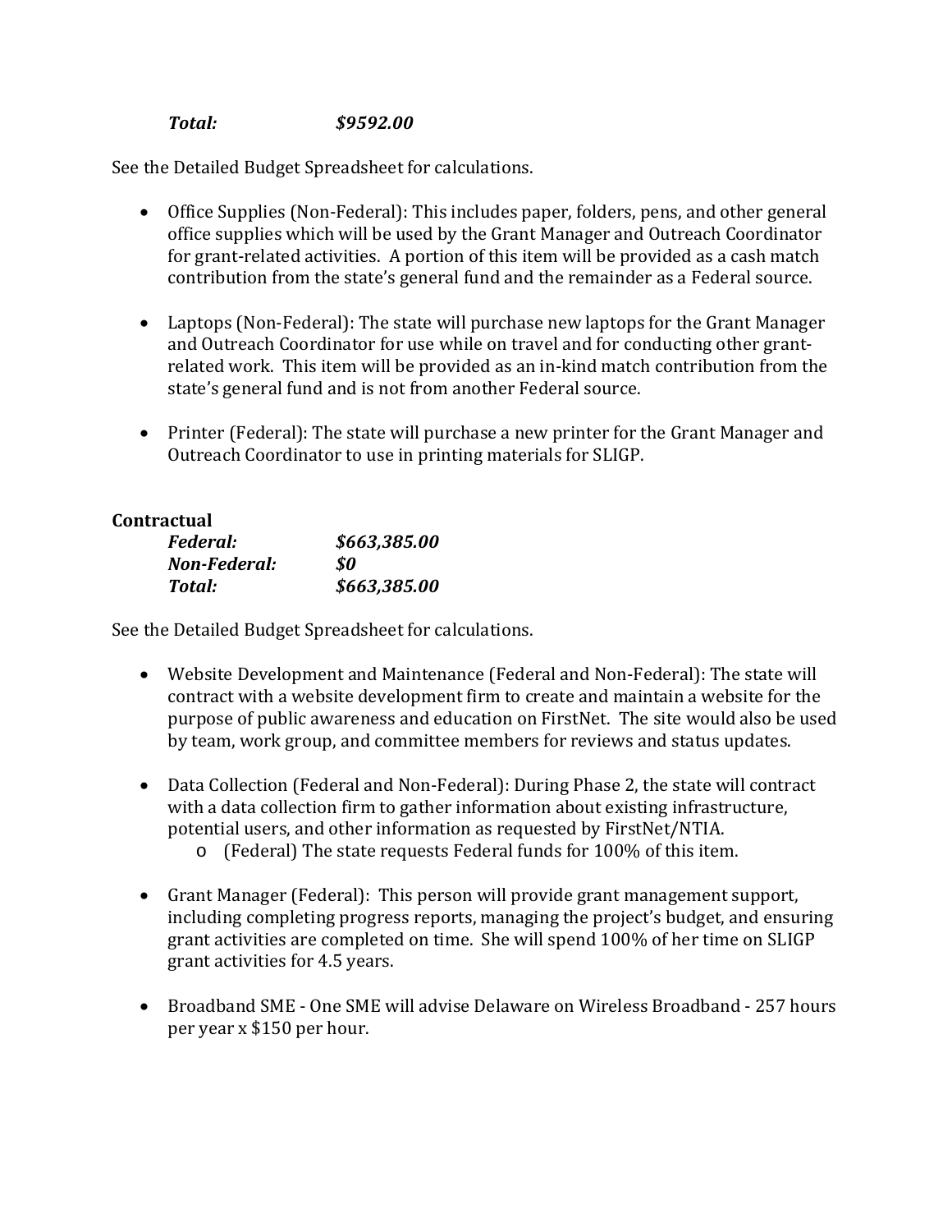# *Total: \$9592.00*

See the Detailed Budget Spreadsheet for calculations.

- Office Supplies (Non-Federal): This includes paper, folders, pens, and other general office supplies which will be used by the Grant Manager and Outreach Coordinator for grant-related activities. A portion of this item will be provided as a cash match contribution from the state's general fund and the remainder as a Federal source.
- Laptops (Non-Federal): The state will purchase new laptops for the Grant Manager and Outreach Coordinator for use while on travel and for conducting other grantrelated work. This item will be provided as an in-kind match contribution from the state's general fund and is not from another Federal source.
- Printer (Federal): The state will purchase a new printer for the Grant Manager and Outreach Coordinator to use in printing materials for SLIGP.

### **Contractual**

| Federal:     | \$663,385.00 |
|--------------|--------------|
| Non-Federal: | SO.          |
| Total:       | \$663,385.00 |

See the Detailed Budget Spreadsheet for calculations.

- Website Development and Maintenance (Federal and Non-Federal): The state will contract with a website development firm to create and maintain a website for the purpose of public awareness and education on FirstNet. The site would also be used by team, work group, and committee members for reviews and status updates.
- Data Collection (Federal and Non-Federal): During Phase 2, the state will contract with a data collection firm to gather information about existing infrastructure, potential users, and other information as requested by FirstNet/NTIA.
	- o (Federal) The state requests Federal funds for 100% of this item.
- Grant Manager (Federal): This person will provide grant management support, including completing progress reports, managing the project's budget, and ensuring grant activities are completed on time. She will spend 100% of her time on SLIGP grant activities for 4.5 years.
- Broadband SME One SME will advise Delaware on Wireless Broadband 257 hours per year x \$150 per hour.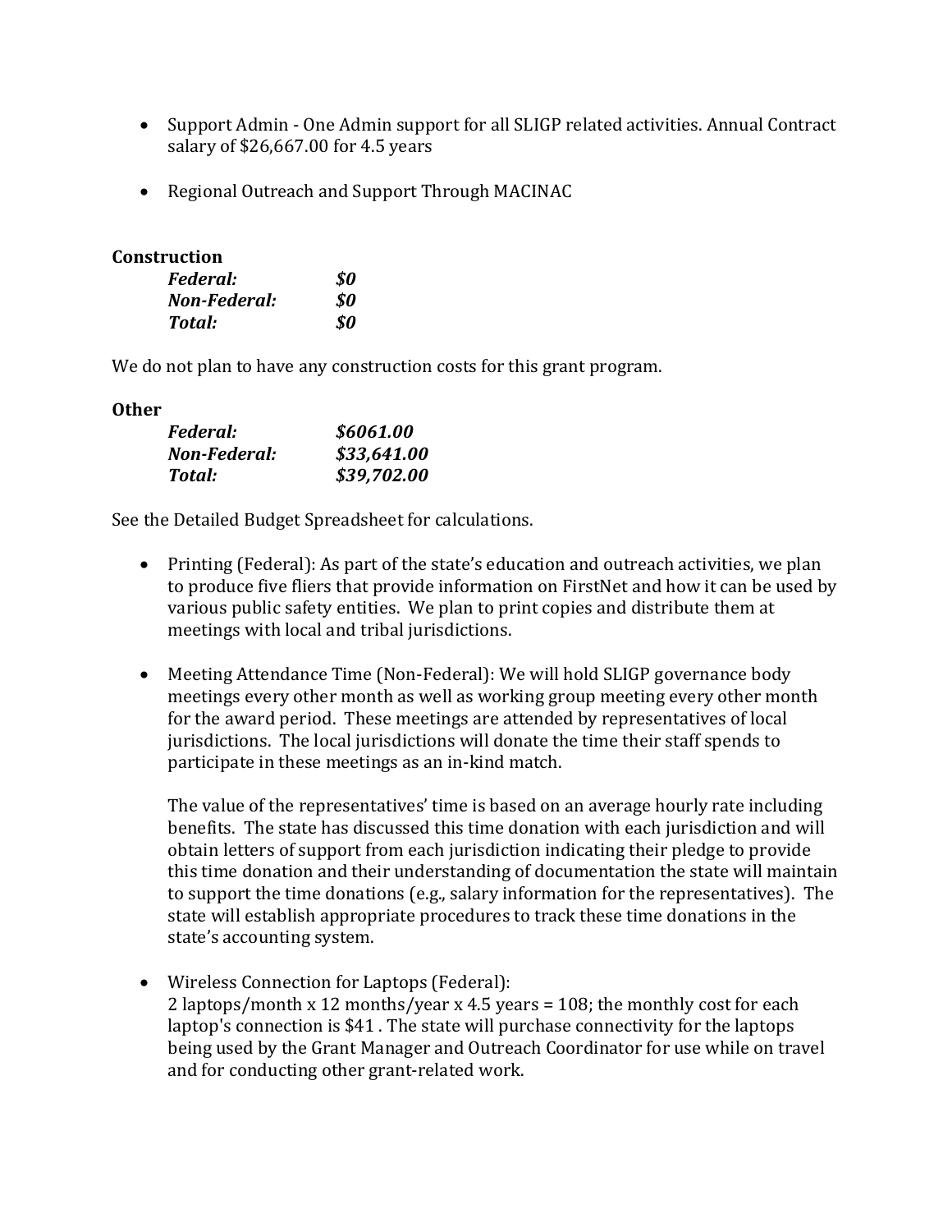- Support Admin One Admin support for all SLIGP related activities. Annual Contract salary of \$26,667.00 for 4.5 years
- Regional Outreach and Support Through MACINAC

#### **Construction**

| <i>Federal:</i> | SO. |
|-----------------|-----|
| Non-Federal:    | SO. |
| Total:          | SO. |

We do not plan to have any construction costs for this grant program.

#### **Other**

| <i>Federal:</i> | \$6061.00   |
|-----------------|-------------|
| Non-Federal:    | \$33,641.00 |
| Total:          | \$39,702.00 |

See the Detailed Budget Spreadsheet for calculations.

- Printing (Federal): As part of the state's education and outreach activities, we plan to produce five fliers that provide information on FirstNet and how it can be used by various public safety entities. We plan to print copies and distribute them at meetings with local and tribal jurisdictions.
- Meeting Attendance Time (Non-Federal): We will hold SLIGP governance body meetings every other month as well as working group meeting every other month for the award period. These meetings are attended by representatives of local jurisdictions. The local jurisdictions will donate the time their staff spends to participate in these meetings as an in-kind match.

The value of the representatives' time is based on an average hourly rate including benefits. The state has discussed this time donation with each jurisdiction and will obtain letters of support from each jurisdiction indicating their pledge to provide this time donation and their understanding of documentation the state will maintain to support the time donations (e.g., salary information for the representatives). The state will establish appropriate procedures to track these time donations in the state's accounting system.

• Wireless Connection for Laptops (Federal): 2 laptops/month x 12 months/year x 4.5 years = 108; the monthly cost for each laptop's connection is \$41 . The state will purchase connectivity for the laptops being used by the Grant Manager and Outreach Coordinator for use while on travel and for conducting other grant-related work.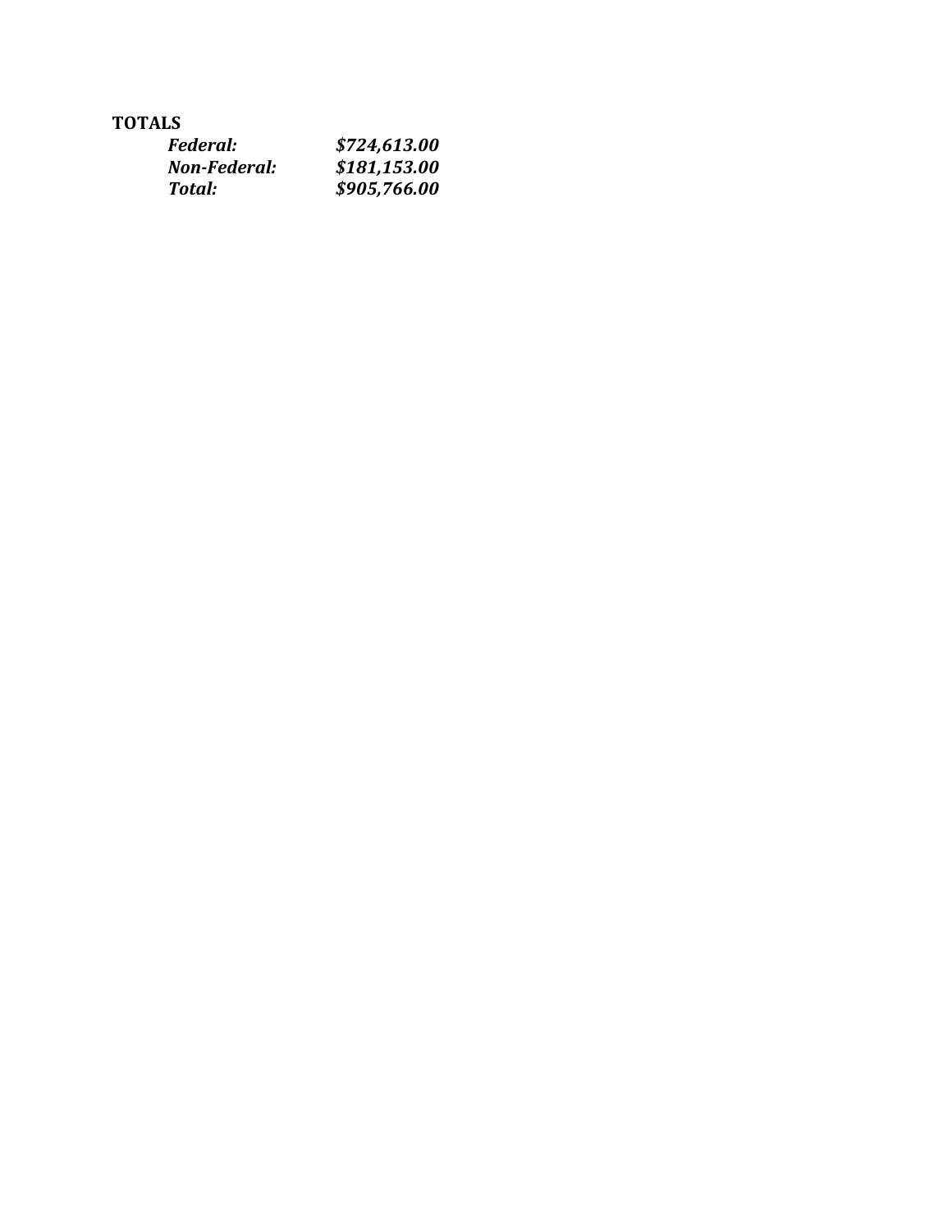# **TOTALS**

| <i>Federal:</i> | \$724,613.00 |
|-----------------|--------------|
| Non-Federal:    | \$181,153.00 |
| Total:          | \$905,766.00 |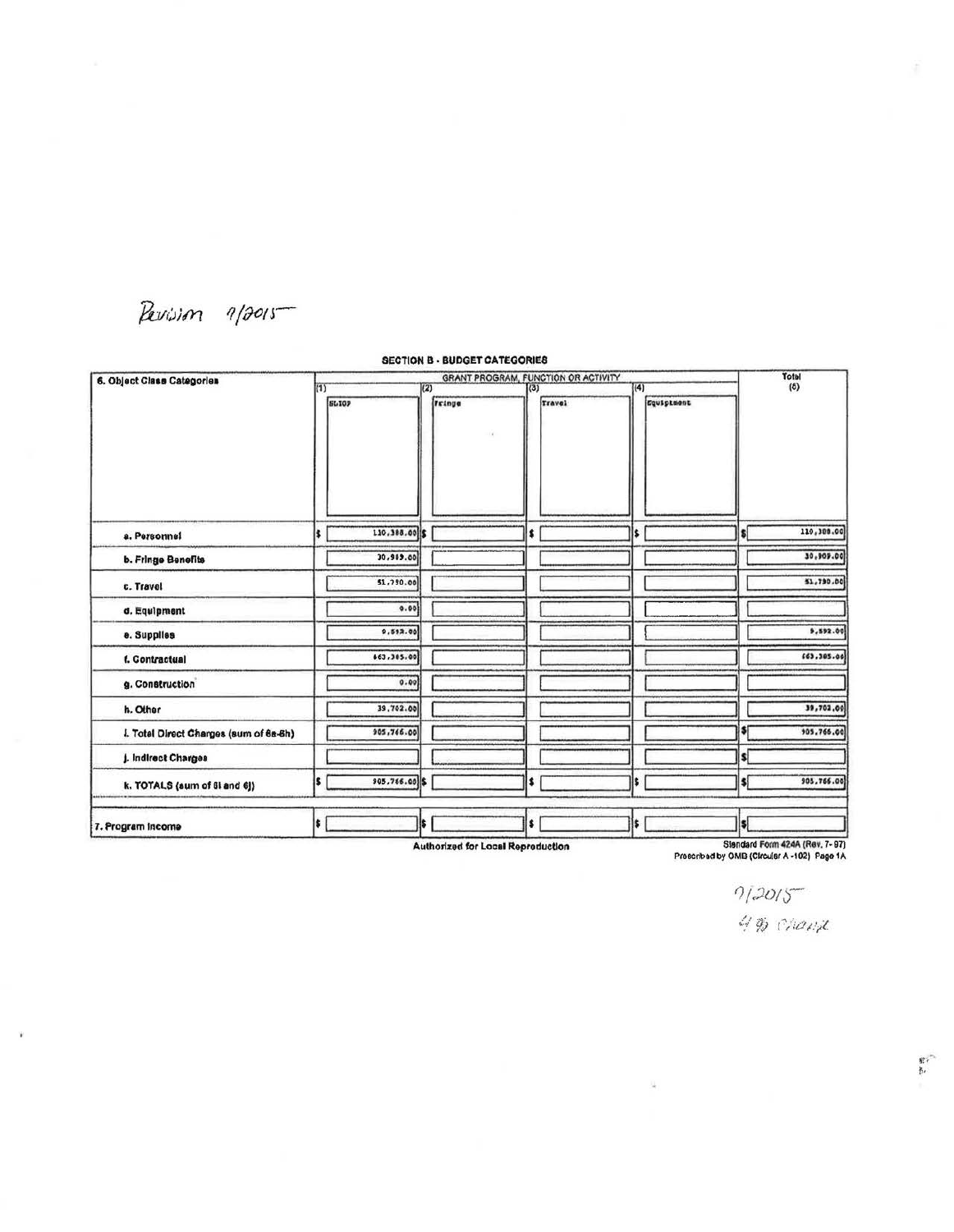Perision  $9/2015$ 

Ÿ

#### SECTION 8 • BUDGET CATEGORIES 6. Object Class Categories (1) GRANT PROGRAM, FUNCTION OR ACTIVITY **ELIOP** *rtinge* **rravel** a. Personnel **110, 388.00 I** IS b. Fringe Benefits **International Properties of International Properties c.** Travel **i n n 1 n 1 n 1 n 1 n 1 n 1 n 1 n 1 n 1 n 1 n 1 n 1 n 1 n 1 n 1 n 1 n 1 n 1 n 1 n 1 n 1 n 1 n 1 n 1 n 1 n** d. Equipment I ····I I e. Supplies  $\boxed{\qquad \qquad }$  .  $\frac{1}{2}$ f. Contractual 663.285.00 g. Construction 0.00  $\frac{1}{2}$   $\frac{1}{2}$   $\frac{1}{2}$   $\frac{1}{2}$   $\frac{1}{2}$   $\frac{1}{2}$   $\frac{1}{2}$   $\frac{1}{2}$   $\frac{1}{2}$   $\frac{1}{2}$   $\frac{1}{2}$   $\frac{1}{2}$   $\frac{1}{2}$   $\frac{1}{2}$   $\frac{1}{2}$   $\frac{1}{2}$   $\frac{1}{2}$   $\frac{1}{2}$   $\frac{1}{2}$   $\frac{1}{2}$   $\frac{1}{2}$   $\frac{1}{2}$  I. Totel Direct Charges (sum of 68-6h) | 905,766.00 j. Indirect Charges k. TOTALS (sum of Bl and 6))  $\begin{array}{|c|c|c|c|c|c|}\hline \text{ $s$} & \text{ $s_0$, $766.00$} \end{array}$  \$ 7. Program Income **I** s **I** I is **I** is **I** is **I** is **I** is **I** is **I** is **I** is **I** is **I** is **I** is **I** is **I** is **I** is **I** is **I** is **I** is **I** is **I** is **I** is **I** is **I** is **I** is **I** is **I** is **I** is **I** is **I** is  $(4)$  $\left| \right. \right|$ I I  $\mathbb{I}$  I I I I L I I I I I Is I  $|s|$ Total<br>(5) **rq.vlpUMnt.**  s<br>  $110,300.00$ I lO ,t<!t.ool **S1,790.00** r 9,592.00 I 16l,Jes.ool I 39,702.00  $\frac{1}{105.766.60}$  $\left| \right|$  $\frac{1}{3}$   $\frac{905,766,00}{1}$  $\vert$ s $\vert$

**Authorized for Local Reproduction** 

Slandard Form 424A (Rev. 7- 97)<br>Prescribad by OMB (Circular A -102) Page 1A

ц.

 $9/2015$ 

4 % Chand

野市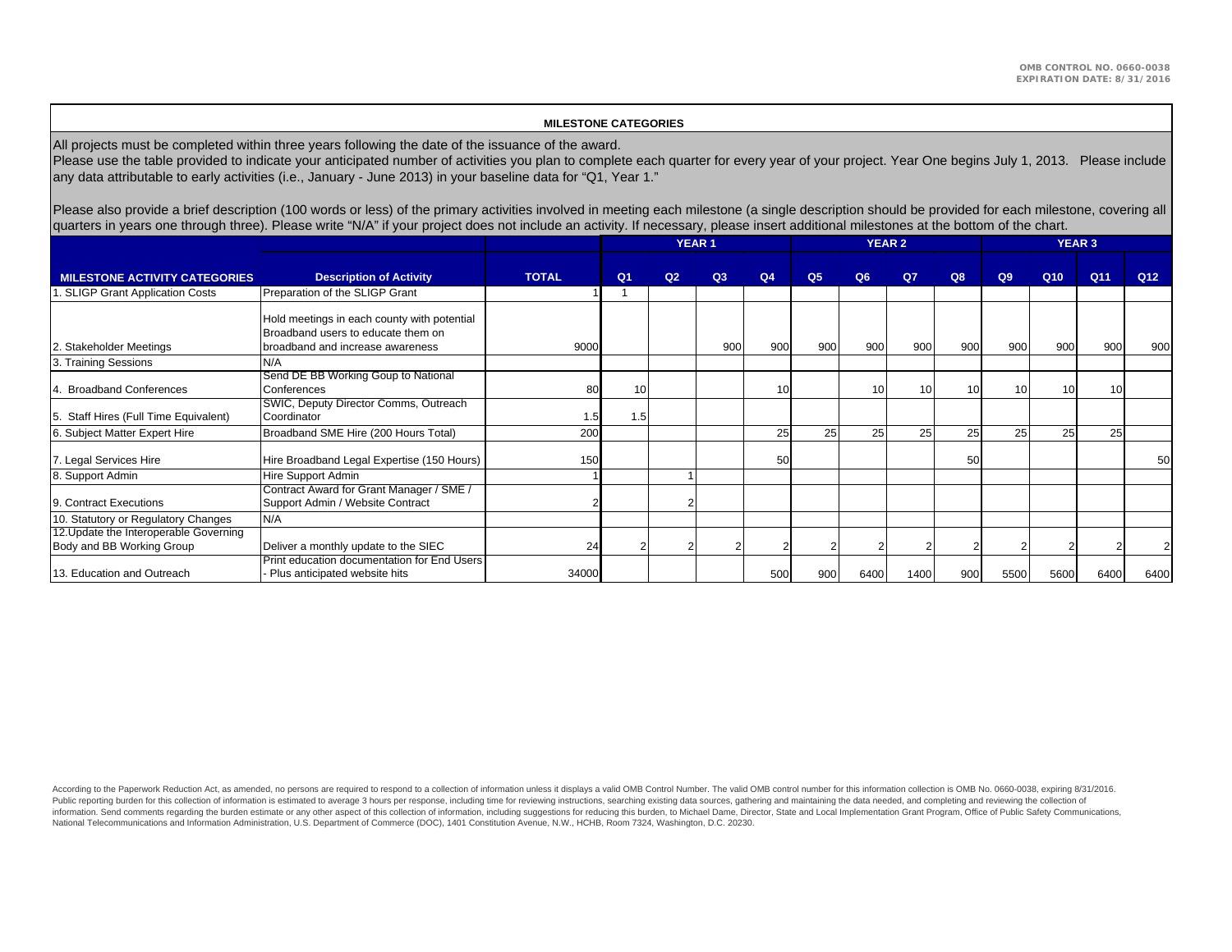#### **MILESTONE CATEGORIES**

All projects must be completed within three years following the date of the issuance of the award.

Please use the table provided to indicate your anticipated number of activities you plan to complete each quarter for every year of your project. Year One begins July 1, 2013. Please include any data attributable to early activities (i.e., January - June 2013) in your baseline data for "Q1, Year 1."

Please also provide a brief description (100 words or less) of the primary activities involved in meeting each milestone (a single description should be provided for each milestone, covering all quarters in years one through three). Please write "N/A" if your project does not include an activity. If necessary, please insert additional milestones at the bottom of the chart.

|                                                                     |                                                                                                                       |              | <b>YEAR 1</b>  |    |                |                |                |      | <b>YEAR 2</b> |     | <b>YEAR 3</b>  |                 |                 |                 |
|---------------------------------------------------------------------|-----------------------------------------------------------------------------------------------------------------------|--------------|----------------|----|----------------|----------------|----------------|------|---------------|-----|----------------|-----------------|-----------------|-----------------|
| <b>MILESTONE ACTIVITY CATEGORIES</b>                                | <b>Description of Activity</b>                                                                                        | <b>TOTAL</b> | Q <sub>1</sub> | Q2 | Q <sub>3</sub> | Q <sub>4</sub> | Q <sub>5</sub> | Q6   | $Q$ 7         | Q8  | Q <sub>9</sub> | Q <sub>10</sub> | Q <sub>11</sub> | Q <sub>12</sub> |
| . SLIGP Grant Application Costs                                     | Preparation of the SLIGP Grant                                                                                        |              |                |    |                |                |                |      |               |     |                |                 |                 |                 |
| 2. Stakeholder Meetings                                             | Hold meetings in each county with potential<br>Broadband users to educate them on<br>broadband and increase awareness | 9000         |                |    | 900            | 900            | 900            | 900  | 900           | 900 | 900            | 900             | 900             | 900             |
| 3. Training Sessions                                                | N/A                                                                                                                   |              |                |    |                |                |                |      |               |     |                |                 |                 |                 |
| <b>Broadband Conferences</b>                                        | Send DE BB Working Goup to National<br>Conferences                                                                    | 80           | 10             |    |                | 10             |                |      | 10            | 10  | 10             | 10              | 10              |                 |
| Staff Hires (Full Time Equivalent)<br>5.                            | SWIC, Deputy Director Comms, Outreach<br>Coordinator                                                                  | 1.5          | 1.5            |    |                |                |                |      |               |     |                |                 |                 |                 |
| 6. Subject Matter Expert Hire                                       | Broadband SME Hire (200 Hours Total)                                                                                  | 200          |                |    |                | 25             | 25             | 25   | 25            | 25  | 25             | 25              | 25              |                 |
| 7. Legal Services Hire                                              | Hire Broadband Legal Expertise (150 Hours)                                                                            | 150          |                |    |                | 50             |                |      |               | 50  |                |                 |                 | 50              |
| 8. Support Admin                                                    | Hire Support Admin                                                                                                    |              |                |    |                |                |                |      |               |     |                |                 |                 |                 |
| 9. Contract Executions                                              | Contract Award for Grant Manager / SME /<br>Support Admin / Website Contract                                          |              |                |    |                |                |                |      |               |     |                |                 |                 |                 |
| 10. Statutory or Regulatory Changes                                 | N/A                                                                                                                   |              |                |    |                |                |                |      |               |     |                |                 |                 |                 |
| 12. Update the Interoperable Governing<br>Body and BB Working Group | Deliver a monthly update to the SIEC                                                                                  | 24           |                |    |                |                |                |      |               |     |                |                 |                 |                 |
| 13. Education and Outreach                                          | Print education documentation for End Users<br>Plus anticipated website hits                                          | 34000        |                |    |                | 500            | 900            | 6400 | 1400          | 900 | 5500           | 5600            | 6400            | 6400            |

According to the Paperwork Reduction Act, as amended, no persons are required to respond to a collection of information unless it displays a valid OMB Control Number. The valid OMB control number for this information colle Public reporting burden for this collection of information is estimated to average 3 hours per response, including time for reviewing instructions, searching existing data sources, gathering and maintaining the data needed information. Send comments regarding the burden estimate or any other aspect of this collection of information, including suggestions for reducing this burden, to Michael Dame, Director, State and Local Implementation Gran National Telecommunications and Information Administration, U.S. Department of Commerce (DOC), 1401 Constitution Avenue, N.W., HCHB, Room 7324, Washington, D.C. 20230.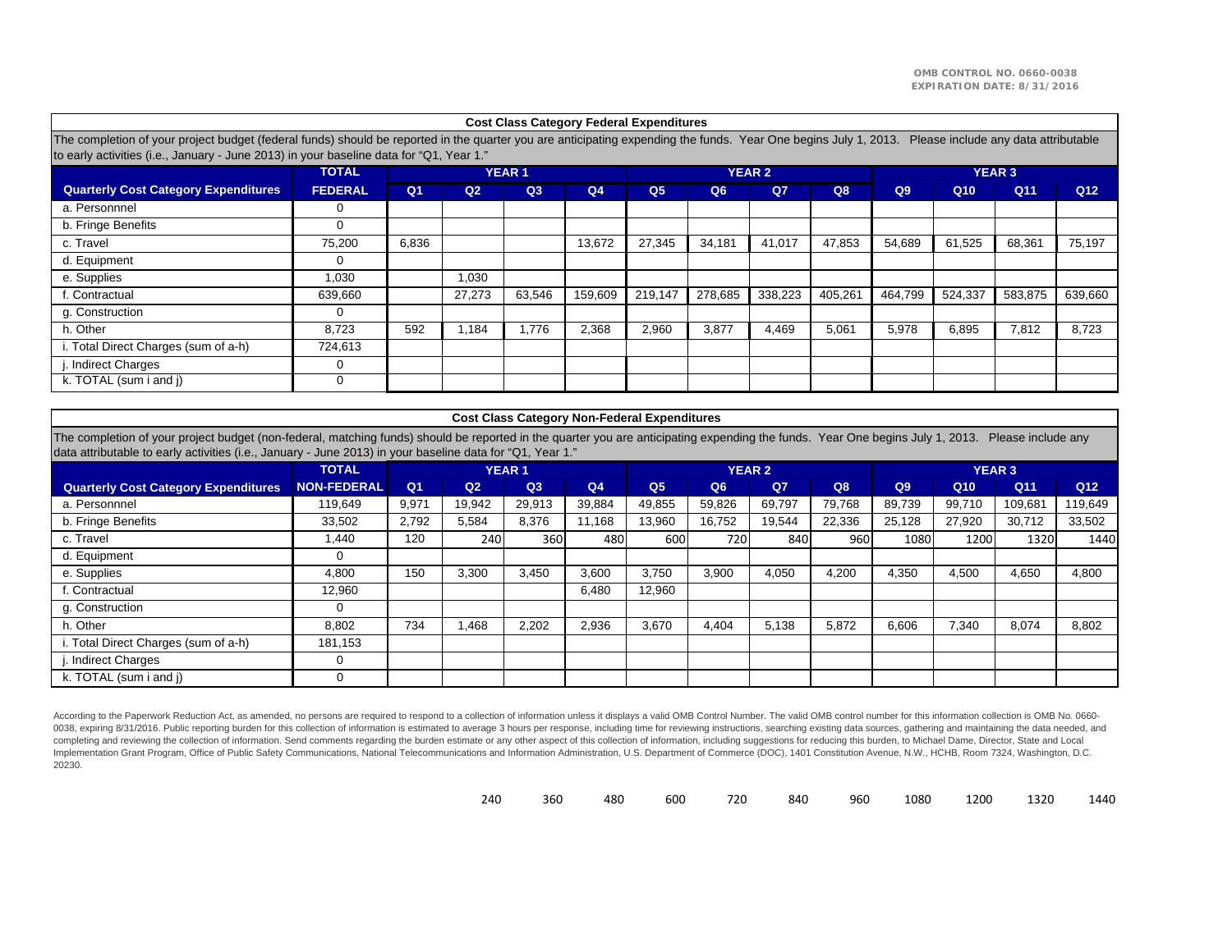|                                                                                                                                                                                                                                                            |                |                |                |              | <b>Cost Class Category Federal Expenditures</b> |                                     |         |               |         |                |                 |                                      |                 |  |
|------------------------------------------------------------------------------------------------------------------------------------------------------------------------------------------------------------------------------------------------------------|----------------|----------------|----------------|--------------|-------------------------------------------------|-------------------------------------|---------|---------------|---------|----------------|-----------------|--------------------------------------|-----------------|--|
| The completion of your project budget (federal funds) should be reported in the quarter you are anticipating expending the funds. Year One begins July 1, 2013.<br>to early activities (i.e., January - June 2013) in your baseline data for "Q1, Year 1." |                |                |                |              |                                                 |                                     |         |               |         |                |                 | Please include any data attributable |                 |  |
|                                                                                                                                                                                                                                                            | <b>TOTAL</b>   |                |                | <b>YEAR1</b> |                                                 |                                     |         | <b>YEAR 2</b> |         | <b>YEAR 3</b>  |                 |                                      |                 |  |
| <b>Quarterly Cost Category Expenditures</b>                                                                                                                                                                                                                | <b>FEDERAL</b> | Q <sub>1</sub> | Q <sub>2</sub> | Q3           | Q4                                              | Q <sub>5</sub><br>Q6<br>$Q$ 7<br>Q8 |         |               |         | Q <sub>9</sub> | Q <sub>10</sub> | Q11                                  | Q <sub>12</sub> |  |
| a. Personnnel                                                                                                                                                                                                                                              | 0              |                |                |              |                                                 |                                     |         |               |         |                |                 |                                      |                 |  |
| b. Fringe Benefits                                                                                                                                                                                                                                         | 0              |                |                |              |                                                 |                                     |         |               |         |                |                 |                                      |                 |  |
| c. Travel                                                                                                                                                                                                                                                  | 75,200         | 6,836          |                |              | 13,672                                          | 27,345                              | 34,181  | 41,017        | 47,853  | 54,689         | 61,525          | 68,361                               | 75,197          |  |
| d. Equipment                                                                                                                                                                                                                                               | $\Omega$       |                |                |              |                                                 |                                     |         |               |         |                |                 |                                      |                 |  |
| e. Supplies                                                                                                                                                                                                                                                | 1,030          |                | 1,030          |              |                                                 |                                     |         |               |         |                |                 |                                      |                 |  |
| f. Contractual                                                                                                                                                                                                                                             | 639.660        |                | 27.273         | 63.546       | 159.609                                         | 219.147                             | 278.685 | 338.223       | 405,261 | 464.799        | 524,337         | 583.875                              | 639.660         |  |
| g. Construction                                                                                                                                                                                                                                            | $\Omega$       |                |                |              |                                                 |                                     |         |               |         |                |                 |                                      |                 |  |
| h. Other                                                                                                                                                                                                                                                   | 8.723          | 592            | .184           | .776         | 2.368                                           | 2.960                               | 3.877   | 4.469         | 5.061   | 5,978          | 6.895           | 7,812                                | 8,723           |  |
| i. Total Direct Charges (sum of a-h)                                                                                                                                                                                                                       | 724,613        |                |                |              |                                                 |                                     |         |               |         |                |                 |                                      |                 |  |
| j. Indirect Charges                                                                                                                                                                                                                                        | 0              |                |                |              |                                                 |                                     |         |               |         |                |                 |                                      |                 |  |
| k. TOTAL (sum i and j)                                                                                                                                                                                                                                     | 0              |                |                |              |                                                 |                                     |         |               |         |                |                 |                                      |                 |  |

#### **Cost Class Category Non-Federal Expenditures**

The completion of your project budget (non-federal, matching funds) should be reported in the quarter you are anticipating expending the funds. Year One begins July 1, 2013. Please include any data attributable to early activities (i.e., January - June 2013) in your baseline data for "Q1, Year 1."

|                                             | <b>TOTAL</b>       | <b>YEAR1</b>   |                |                  |                |                |        | <b>YEAR 2</b>  |        | <b>YEAR 3</b> |        |         |         |  |
|---------------------------------------------|--------------------|----------------|----------------|------------------|----------------|----------------|--------|----------------|--------|---------------|--------|---------|---------|--|
| <b>Quarterly Cost Category Expenditures</b> | <b>NON-FEDERAL</b> | Q <sub>1</sub> | Q <sub>2</sub> | Q <sub>3</sub>   | Q <sub>4</sub> | Q <sub>5</sub> | Q6     | Q <sub>7</sub> | Q8     | Q9            | Q10    | Q11     | Q12     |  |
| a. Personnnel                               | 119.649            | 9,971          | 19.942         | 29,913           | 39,884         | 49,855         | 59,826 | 69,797         | 79.768 | 89,739        | 99,710 | 109,681 | 119,649 |  |
| b. Fringe Benefits                          | 33,502             | 2,792          | 5.584          | 8,376            | 11.168         | 13,960         | 16.752 | 19,544         | 22,336 | 25.128        | 27.920 | 30,712  | 33,502  |  |
| c. Travel                                   | 440. ا             | 120            | 240            | 360 <sup>I</sup> | 480            | 600            | 720    | 840            | 960    | 1080          | 1200   | 1320    | 1440    |  |
| d. Equipment                                | 0                  |                |                |                  |                |                |        |                |        |               |        |         |         |  |
| e. Supplies                                 | 4,800              | 150            | 3,300          | 3,450            | 3,600          | 3,750          | 3,900  | 4.050          | 4,200  | 4,350         | 4,500  | 4,650   | 4,800   |  |
| f. Contractual                              | 12.960             |                |                |                  | 6,480          | 12,960         |        |                |        |               |        |         |         |  |
| g. Construction                             | $\Omega$           |                |                |                  |                |                |        |                |        |               |        |         |         |  |
| h. Other                                    | 8.802              | 734            | .468           | 2,202            | 2,936          | 3,670          | 4.404  | 5.138          | 5,872  | 6,606         | 7,340  | 8,074   | 8,802   |  |
| i. Total Direct Charges (sum of a-h)        | 181,153            |                |                |                  |                |                |        |                |        |               |        |         |         |  |
| j. Indirect Charges                         | 0                  |                |                |                  |                |                |        |                |        |               |        |         |         |  |
| k. TOTAL (sum i and j)                      |                    |                |                |                  |                |                |        |                |        |               |        |         |         |  |

According to the Paperwork Reduction Act, as amended, no persons are required to respond to a collection of information unless it displays a valid OMB Control Number. The valid OMB control number for this information colle 0038, expiring 8/31/2016. Public reporting burden for this collection of information is estimated to average 3 hours per response, including time for reviewing instructions, searching existing data sources, gathering and m completing and reviewing the collection of information. Send comments regarding the burden estimate or any other aspect of this collection of information, including suggestions for reducing this burden, to Michael Dame, Di Implementation Grant Program, Office of Public Safety Communications, National Telecommunications and Information Administration, U.S. Department of Commerce (DOC), 1401 Constitution Avenue, N.W., HCHB, Room 7324, Washingt 20230.

| 240 | 360 | 480 | 600 | 720 | 840 | 960 |  |  | 1080 1200 1320 1440 |  |
|-----|-----|-----|-----|-----|-----|-----|--|--|---------------------|--|
|-----|-----|-----|-----|-----|-----|-----|--|--|---------------------|--|